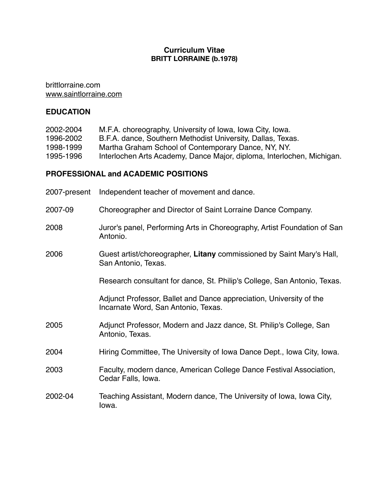# **Curriculum Vitae BRITT LORRAINE (b.1978)**

brittlorraine.com [www.saintlorraine.com](http://www.saintlorraine.com)

# **EDUCATION**

| 2002-2004 | M.F.A. choreography, University of Iowa, Iowa City, Iowa.   |
|-----------|-------------------------------------------------------------|
| 1996-2002 | B.F.A. dance, Southern Methodist University, Dallas, Texas. |
| 1998-1999 | Martha Graham School of Contemporary Dance, NY, NY.         |

1995-1996 Interlochen Arts Academy, Dance Major, diploma, Interlochen, Michigan.

## **PROFESSIONAL and ACADEMIC POSITIONS**

| 2007-present | Independent teacher of movement and dance.                                                                 |
|--------------|------------------------------------------------------------------------------------------------------------|
| 2007-09      | Choreographer and Director of Saint Lorraine Dance Company.                                                |
| 2008         | Juror's panel, Performing Arts in Choreography, Artist Foundation of San<br>Antonio.                       |
| 2006         | Guest artist/choreographer, Litany commissioned by Saint Mary's Hall,<br>San Antonio, Texas.               |
|              | Research consultant for dance, St. Philip's College, San Antonio, Texas.                                   |
|              | Adjunct Professor, Ballet and Dance appreciation, University of the<br>Incarnate Word, San Antonio, Texas. |
| 2005         | Adjunct Professor, Modern and Jazz dance, St. Philip's College, San<br>Antonio, Texas.                     |
| 2004         | Hiring Committee, The University of Iowa Dance Dept., Iowa City, Iowa.                                     |
| 2003         | Faculty, modern dance, American College Dance Festival Association,<br>Cedar Falls, Iowa.                  |
| 2002-04      | Teaching Assistant, Modern dance, The University of Iowa, Iowa City,<br>lowa.                              |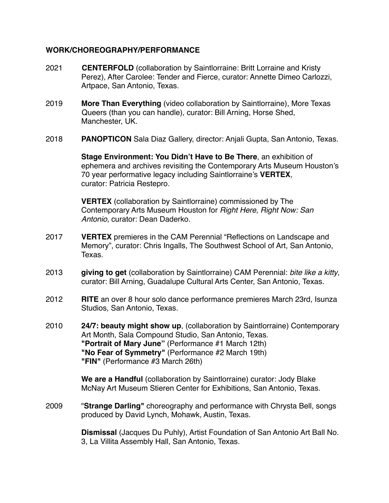# **WORK/CHOREOGRAPHY/PERFORMANCE**

- 2021 **CENTERFOLD** (collaboration by Saintlorraine: Britt Lorraine and Kristy Perez), After Carolee: Tender and Fierce, curator: Annette Dimeo Carlozzi, Artpace, San Antonio, Texas.
- 2019 **More Than Everything** (video collaboration by Saintlorraine), More Texas Queers (than you can handle), curator: Bill Arning, Horse Shed, Manchester, UK.
- 2018 **PANOPTICON** Sala Diaz Gallery, director: Anjali Gupta, San Antonio, Texas.

**Stage Environment: You Didn't Have to Be There**, an exhibition of ephemera and archives revisiting the Contemporary Arts Museum Houston's 70 year performative legacy including Saintlorraine's **VERTEX**, curator: Patricia Restepro.

**VERTEX** (collaboration by Saintlorraine) commissioned by The Contemporary Arts Museum Houston for *Right Here, Right Now: San Antonio*, curator: Dean Daderko.

- 2017 **VERTEX** premieres in the CAM Perennial "Reflections on Landscape and Memory", curator: Chris Ingalls, The Southwest School of Art, San Antonio, Texas.
- 2013 **giving to get** (collaboration by Saintlorraine) CAM Perennial: *bite like a kitty*, curator: Bill Arning, Guadalupe Cultural Arts Center, San Antonio, Texas.
- 2012 **RITE** an over 8 hour solo dance performance premieres March 23rd, Isunza Studios, San Antonio, Texas.
- 2010 **24/7: beauty might show up**, (collaboration by Saintlorraine) Contemporary Art Month, Sala Compound Studio, San Antonio, Texas. **"Portrait of Mary June"** (Performance #1 March 12th) **"No Fear of Symmetry"** (Performance #2 March 19th) **"FIN"** (Performance #3 March 26th)

**We are a Handful** (collaboration by Saintlorraine) curator: Jody Blake McNay Art Museum Stieren Center for Exhibitions, San Antonio, Texas.

2009 "**Strange Darling"** choreography and performance with Chrysta Bell, songs produced by David Lynch, Mohawk, Austin, Texas.

> **Dismissal** (Jacques Du Puhly), Artist Foundation of San Antonio Art Ball No. 3, La Villita Assembly Hall, San Antonio, Texas.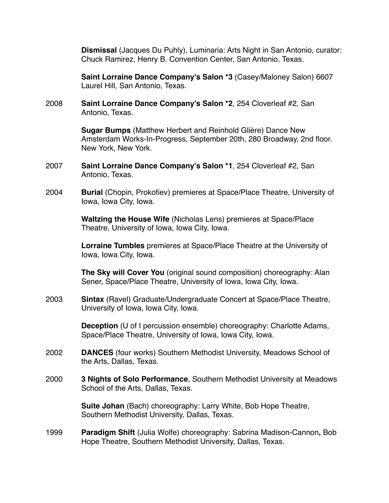**Dismissal** (Jacques Du Puhly), Luminaria: Arts Night in San Antonio, curator: Chuck Ramirez, Henry B. Convention Center, San Antonio, Texas.

**Saint Lorraine Dance Company's Salon \*3** (Casey/Maloney Salon) 6607 Laurel Hill, San Antonio, Texas.

2008 **Saint Lorraine Dance Company's Salon \*2**, 254 Cloverleaf #2, San Antonio, Texas.

> **Sugar Bumps** (Matthew Herbert and Reinhold Glière) Dance New Amsterdam Works-In-Progress, September 20th, 280 Broadway, 2nd floor. New York, New York.

- 2007 **Saint Lorraine Dance Company's Salon \*1**, 254 Cloverleaf #2, San Antonio, Texas.
- 2004 **Burial** (Chopin, Prokofiev) premieres at Space/Place Theatre, University of Iowa, Iowa City, Iowa.

**Waltzing the House Wife** (Nicholas Lens) premieres at Space/Place Theatre, University of Iowa, Iowa City, Iowa.

**Lorraine Tumbles** premieres at Space/Place Theatre at the University of Iowa, Iowa City, Iowa.

**The Sky will Cover You** (original sound composition) choreography: Alan Sener, Space/Place Theatre, University of Iowa, Iowa City, Iowa.

2003 **Sintax** (Ravel) Graduate/Undergraduate Concert at Space/Place Theatre, University of Iowa, Iowa City, Iowa.

> **Deception** (U of I percussion ensemble) choreography: Charlotte Adams, Space/Place Theatre, University of Iowa, Iowa City, Iowa.

- 2002 **DANCES** (four works) Southern Methodist University, Meadows School of the Arts, Dallas, Texas.
- 2000 **3 Nights of Solo Performance**, Southern Methodist University at Meadows School of the Arts, Dallas, Texas.

**Suite Johan** (Bach) choreography: Larry White, Bob Hope Theatre, Southern Methodist University, Dallas, Texas.

1999 **Paradigm Shift** (Julia Wolfe) choreography: Sabrina Madison-Cannon**,** Bob Hope Theatre, Southern Methodist University, Dallas, Texas.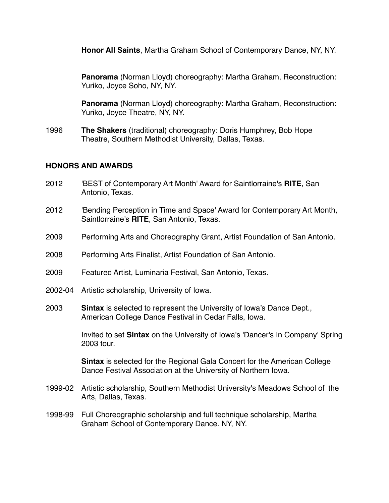**Honor All Saints**, Martha Graham School of Contemporary Dance, NY, NY.

**Panorama** (Norman Lloyd) choreography: Martha Graham, Reconstruction: Yuriko, Joyce Soho, NY, NY.

**Panorama** (Norman Lloyd) choreography: Martha Graham, Reconstruction: Yuriko, Joyce Theatre, NY, NY.

1996 **The Shakers** (traditional) choreography: Doris Humphrey, Bob Hope Theatre, Southern Methodist University, Dallas, Texas.

# **HONORS AND AWARDS**

- 2012 'BEST of Contemporary Art Month' Award for Saintlorraine's **RITE**, San Antonio, Texas.
- 2012 'Bending Perception in Time and Space' Award for Contemporary Art Month, Saintlorraine's **RITE**, San Antonio, Texas.
- 2009 Performing Arts and Choreography Grant, Artist Foundation of San Antonio.
- 2008 Performing Arts Finalist, Artist Foundation of San Antonio.
- 2009 Featured Artist, Luminaria Festival, San Antonio, Texas.
- 2002-04 Artistic scholarship, University of Iowa.
- 2003 **Sintax** is selected to represent the University of Iowa's Dance Dept., American College Dance Festival in Cedar Falls, Iowa.

Invited to set **Sintax** on the University of Iowa's 'Dancer's In Company' Spring 2003 tour.

**Sintax** is selected for the Regional Gala Concert for the American College Dance Festival Association at the University of Northern Iowa.

- 1999-02 Artistic scholarship, Southern Methodist University's Meadows School of the Arts, Dallas, Texas.
- 1998-99 Full Choreographic scholarship and full technique scholarship, Martha Graham School of Contemporary Dance. NY, NY.